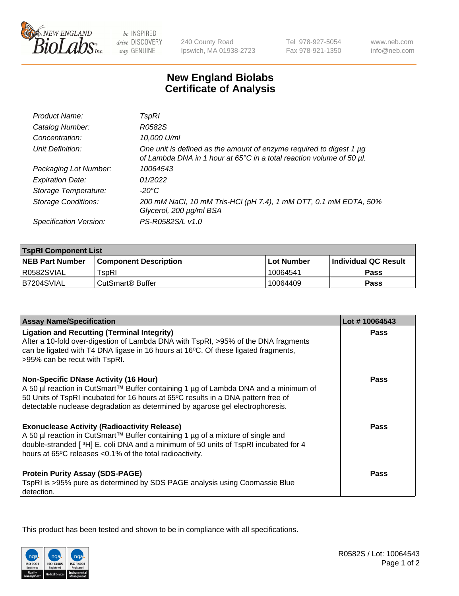

 $be$  INSPIRED drive DISCOVERY stay GENUINE

240 County Road Ipswich, MA 01938-2723 Tel 978-927-5054 Fax 978-921-1350

www.neb.com info@neb.com

## **New England Biolabs Certificate of Analysis**

| Product Name:              | TspRI                                                                                                                                       |
|----------------------------|---------------------------------------------------------------------------------------------------------------------------------------------|
| Catalog Number:            | R0582S                                                                                                                                      |
| Concentration:             | 10,000 U/ml                                                                                                                                 |
| Unit Definition:           | One unit is defined as the amount of enzyme required to digest 1 µg<br>of Lambda DNA in 1 hour at 65°C in a total reaction volume of 50 µl. |
| Packaging Lot Number:      | 10064543                                                                                                                                    |
| <b>Expiration Date:</b>    | 01/2022                                                                                                                                     |
| Storage Temperature:       | -20°C                                                                                                                                       |
| <b>Storage Conditions:</b> | 200 mM NaCl, 10 mM Tris-HCl (pH 7.4), 1 mM DTT, 0.1 mM EDTA, 50%<br>Glycerol, 200 µg/ml BSA                                                 |
| Specification Version:     | PS-R0582S/L v1.0                                                                                                                            |

| <b>TspRI Component List</b> |                                                                    |             |                             |  |  |
|-----------------------------|--------------------------------------------------------------------|-------------|-----------------------------|--|--|
| <b>NEB Part Number</b>      | <b>Component Description</b>                                       | ⊺Lot Number | <b>Individual QC Result</b> |  |  |
| R0582SVIAL                  | $\mathsf{^{\mathsf{T}}\mathsf{s}\mathsf{o}\mathsf{R}\mathsf{l}}$ . | 10064541    | Pass                        |  |  |
| B7204SVIAL                  | ⊧CutSmart® Buffer                                                  | 10064409    | Pass                        |  |  |

| <b>Assay Name/Specification</b>                                                                                                                                                                                                                                                                           | Lot #10064543 |
|-----------------------------------------------------------------------------------------------------------------------------------------------------------------------------------------------------------------------------------------------------------------------------------------------------------|---------------|
| <b>Ligation and Recutting (Terminal Integrity)</b><br>After a 10-fold over-digestion of Lambda DNA with TspRI, >95% of the DNA fragments<br>can be ligated with T4 DNA ligase in 16 hours at 16°C. Of these ligated fragments,<br>>95% can be recut with TspRI.                                           | Pass          |
| <b>Non-Specific DNase Activity (16 Hour)</b><br>A 50 µl reaction in CutSmart™ Buffer containing 1 µg of Lambda DNA and a minimum of<br>50 Units of TspRI incubated for 16 hours at 65°C results in a DNA pattern free of<br>detectable nuclease degradation as determined by agarose gel electrophoresis. | Pass          |
| <b>Exonuclease Activity (Radioactivity Release)</b><br>A 50 µl reaction in CutSmart™ Buffer containing 1 µg of a mixture of single and<br>double-stranded [3H] E. coli DNA and a minimum of 50 units of TspRI incubated for 4<br>hours at 65°C releases <0.1% of the total radioactivity.                 | Pass          |
| <b>Protein Purity Assay (SDS-PAGE)</b><br>TspRI is >95% pure as determined by SDS PAGE analysis using Coomassie Blue<br>detection.                                                                                                                                                                        | Pass          |

This product has been tested and shown to be in compliance with all specifications.